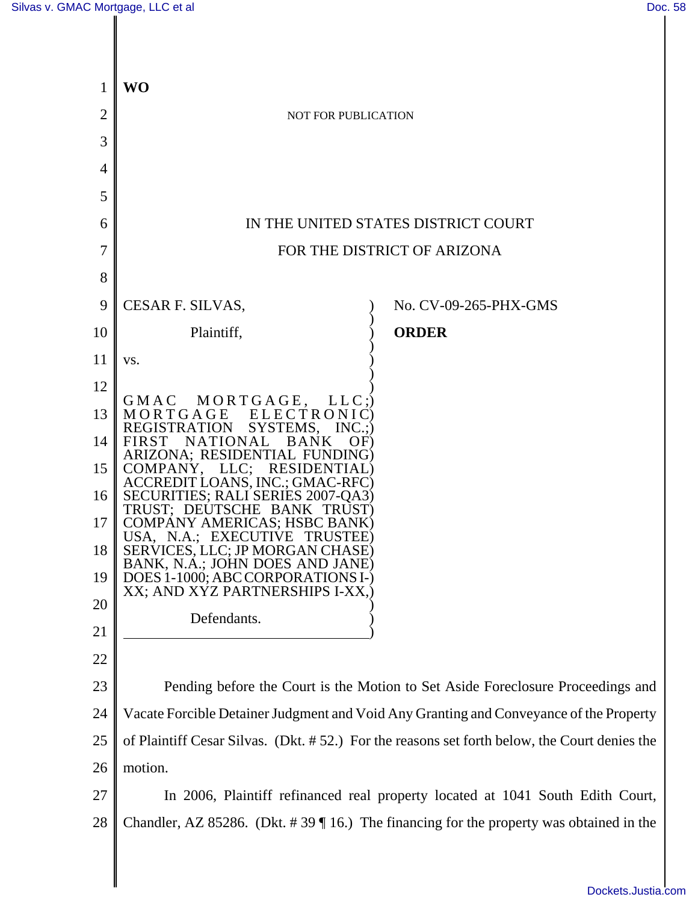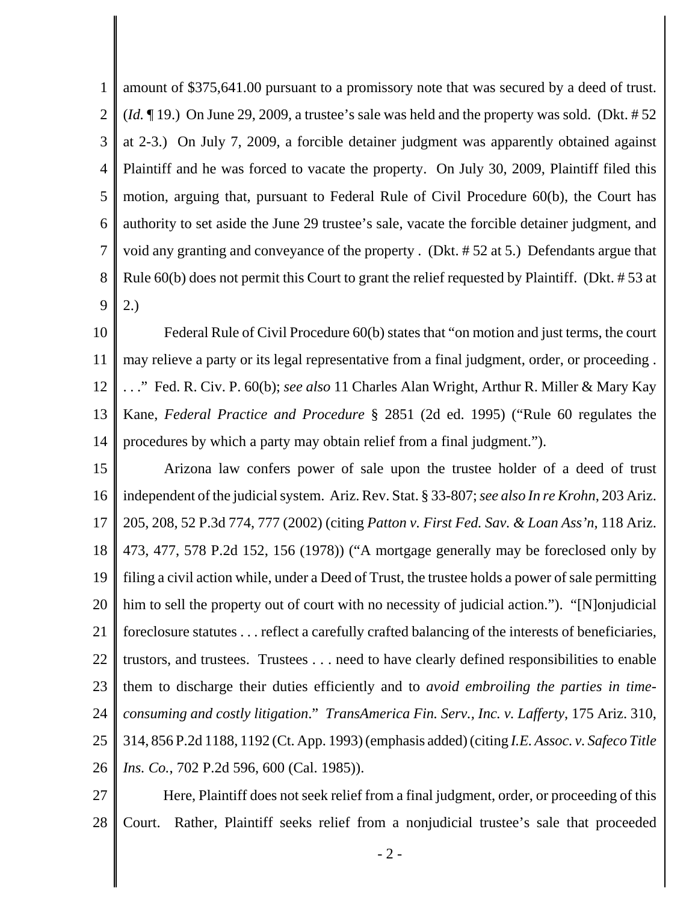1 2 3 4 5 6 7 8 9 amount of \$375,641.00 pursuant to a promissory note that was secured by a deed of trust. (*Id.* ¶ 19.) On June 29, 2009, a trustee's sale was held and the property was sold. (Dkt. # 52 at 2-3.) On July 7, 2009, a forcible detainer judgment was apparently obtained against Plaintiff and he was forced to vacate the property. On July 30, 2009, Plaintiff filed this motion, arguing that, pursuant to Federal Rule of Civil Procedure 60(b), the Court has authority to set aside the June 29 trustee's sale, vacate the forcible detainer judgment, and void any granting and conveyance of the property . (Dkt. # 52 at 5.) Defendants argue that Rule 60(b) does not permit this Court to grant the relief requested by Plaintiff. (Dkt. # 53 at 2.)

10 11 12 13 14 Federal Rule of Civil Procedure 60(b) states that "on motion and just terms, the court may relieve a party or its legal representative from a final judgment, order, or proceeding . . . ." Fed. R. Civ. P. 60(b); *see also* 11 Charles Alan Wright, Arthur R. Miller & Mary Kay Kane, *Federal Practice and Procedure* § 2851 (2d ed. 1995) ("Rule 60 regulates the procedures by which a party may obtain relief from a final judgment.").

15 16 17 18 19 20 21 22 23 24 25 26 Arizona law confers power of sale upon the trustee holder of a deed of trust independent of the judicial system. Ariz. Rev. Stat. § 33-807; *see also In re Krohn*, 203 Ariz. 205, 208, 52 P.3d 774, 777 (2002) (citing *Patton v. First Fed. Sav. & Loan Ass'n*, 118 Ariz. 473, 477, 578 P.2d 152, 156 (1978)) ("A mortgage generally may be foreclosed only by filing a civil action while, under a Deed of Trust, the trustee holds a power of sale permitting him to sell the property out of court with no necessity of judicial action."). "[N]onjudicial foreclosure statutes . . . reflect a carefully crafted balancing of the interests of beneficiaries, trustors, and trustees. Trustees . . . need to have clearly defined responsibilities to enable them to discharge their duties efficiently and to *avoid embroiling the parties in timeconsuming and costly litigation*." *TransAmerica Fin. Serv., Inc. v. Lafferty*, 175 Ariz. 310, 314, 856 P.2d 1188, 1192 (Ct. App. 1993) (emphasis added) (citing *I.E. Assoc. v. Safeco Title Ins. Co.*, 702 P.2d 596, 600 (Cal. 1985)).

27 28 Here, Plaintiff does not seek relief from a final judgment, order, or proceeding of this Court. Rather, Plaintiff seeks relief from a nonjudicial trustee's sale that proceeded